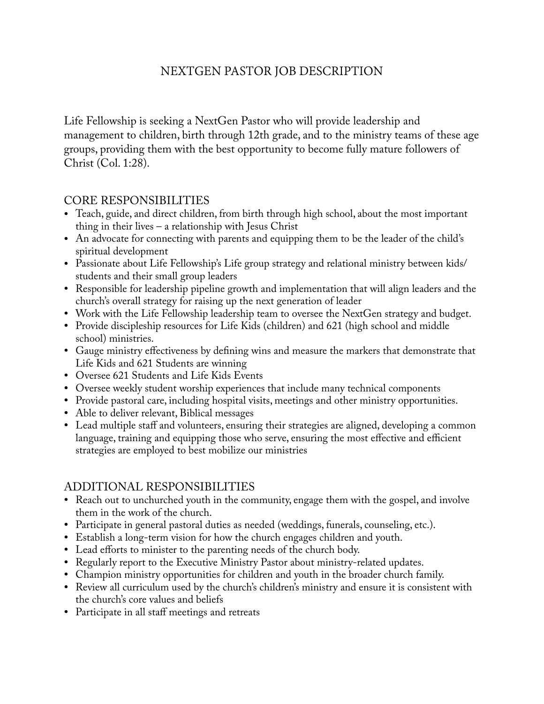# NEXTGEN PASTOR JOB DESCRIPTION

Life Fellowship is seeking a NextGen Pastor who will provide leadership and management to children, birth through 12th grade, and to the ministry teams of these age groups, providing them with the best opportunity to become fully mature followers of Christ (Col. 1:28).

#### CORE RESPONSIBILITIES

- Teach, guide, and direct children, from birth through high school, about the most important thing in their lives – a relationship with Jesus Christ
- An advocate for connecting with parents and equipping them to be the leader of the child's spiritual development
- Passionate about Life Fellowship's Life group strategy and relational ministry between kids/ students and their small group leaders
- Responsible for leadership pipeline growth and implementation that will align leaders and the church's overall strategy for raising up the next generation of leader
- Work with the Life Fellowship leadership team to oversee the NextGen strategy and budget.
- Provide discipleship resources for Life Kids (children) and 621 (high school and middle school) ministries.
- Gauge ministry effectiveness by defning wins and measure the markers that demonstrate that Life Kids and 621 Students are winning
- Oversee 621 Students and Life Kids Events
- Oversee weekly student worship experiences that include many technical components
- Provide pastoral care, including hospital visits, meetings and other ministry opportunities.
- Able to deliver relevant, Biblical messages
- Lead multiple staff and volunteers, ensuring their strategies are aligned, developing a common language, training and equipping those who serve, ensuring the most effective and efficient strategies are employed to best mobilize our ministries

### ADDITIONAL RESPONSIBILITIES

- Reach out to unchurched youth in the community, engage them with the gospel, and involve them in the work of the church.
- Participate in general pastoral duties as needed (weddings, funerals, counseling, etc.).
- Establish a long-term vision for how the church engages children and youth.
- Lead efforts to minister to the parenting needs of the church body.
- Regularly report to the Executive Ministry Pastor about ministry-related updates.
- Champion ministry opportunities for children and youth in the broader church family.
- Review all curriculum used by the church's children's ministry and ensure it is consistent with the church's core values and beliefs
- Participate in all staff meetings and retreats